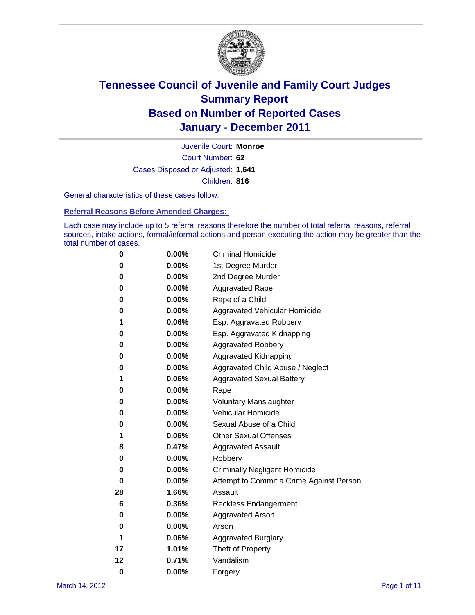

Court Number: **62** Juvenile Court: **Monroe** Cases Disposed or Adjusted: **1,641** Children: **816**

General characteristics of these cases follow:

**Referral Reasons Before Amended Charges:** 

Each case may include up to 5 referral reasons therefore the number of total referral reasons, referral sources, intake actions, formal/informal actions and person executing the action may be greater than the total number of cases.

| 0  | 0.00% | <b>Criminal Homicide</b>                 |  |  |  |
|----|-------|------------------------------------------|--|--|--|
| 0  | 0.00% | 1st Degree Murder                        |  |  |  |
| 0  | 0.00% | 2nd Degree Murder                        |  |  |  |
| 0  | 0.00% | <b>Aggravated Rape</b>                   |  |  |  |
| 0  | 0.00% | Rape of a Child                          |  |  |  |
| 0  | 0.00% | Aggravated Vehicular Homicide            |  |  |  |
| 1  | 0.06% | Esp. Aggravated Robbery                  |  |  |  |
| 0  | 0.00% | Esp. Aggravated Kidnapping               |  |  |  |
| 0  | 0.00% | <b>Aggravated Robbery</b>                |  |  |  |
| 0  | 0.00% | Aggravated Kidnapping                    |  |  |  |
| 0  | 0.00% | Aggravated Child Abuse / Neglect         |  |  |  |
| 1  | 0.06% | <b>Aggravated Sexual Battery</b>         |  |  |  |
| 0  | 0.00% | Rape                                     |  |  |  |
| 0  | 0.00% | <b>Voluntary Manslaughter</b>            |  |  |  |
| 0  | 0.00% | Vehicular Homicide                       |  |  |  |
| 0  | 0.00% | Sexual Abuse of a Child                  |  |  |  |
| 1  | 0.06% | <b>Other Sexual Offenses</b>             |  |  |  |
| 8  | 0.47% | <b>Aggravated Assault</b>                |  |  |  |
| 0  | 0.00% | Robbery                                  |  |  |  |
| 0  | 0.00% | <b>Criminally Negligent Homicide</b>     |  |  |  |
| 0  | 0.00% | Attempt to Commit a Crime Against Person |  |  |  |
| 28 | 1.66% | Assault                                  |  |  |  |
| 6  | 0.36% | <b>Reckless Endangerment</b>             |  |  |  |
| 0  | 0.00% | <b>Aggravated Arson</b>                  |  |  |  |
| 0  | 0.00% | Arson                                    |  |  |  |
| 1  | 0.06% | <b>Aggravated Burglary</b>               |  |  |  |
| 17 | 1.01% | Theft of Property                        |  |  |  |
| 12 | 0.71% | Vandalism                                |  |  |  |
| 0  | 0.00% | Forgery                                  |  |  |  |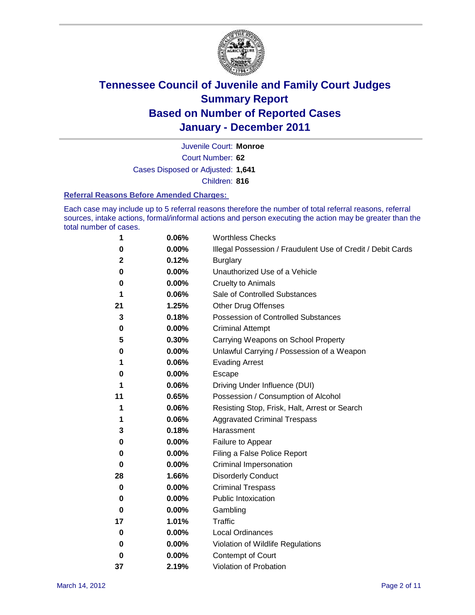

Court Number: **62** Juvenile Court: **Monroe** Cases Disposed or Adjusted: **1,641** Children: **816**

#### **Referral Reasons Before Amended Charges:**

Each case may include up to 5 referral reasons therefore the number of total referral reasons, referral sources, intake actions, formal/informal actions and person executing the action may be greater than the total number of cases.

| 1  | 0.06% | <b>Worthless Checks</b>                                     |
|----|-------|-------------------------------------------------------------|
| 0  | 0.00% | Illegal Possession / Fraudulent Use of Credit / Debit Cards |
| 2  | 0.12% | <b>Burglary</b>                                             |
| 0  | 0.00% | Unauthorized Use of a Vehicle                               |
| 0  | 0.00% | <b>Cruelty to Animals</b>                                   |
| 1  | 0.06% | Sale of Controlled Substances                               |
| 21 | 1.25% | <b>Other Drug Offenses</b>                                  |
| 3  | 0.18% | Possession of Controlled Substances                         |
| 0  | 0.00% | <b>Criminal Attempt</b>                                     |
| 5  | 0.30% | Carrying Weapons on School Property                         |
| 0  | 0.00% | Unlawful Carrying / Possession of a Weapon                  |
| 1  | 0.06% | <b>Evading Arrest</b>                                       |
| 0  | 0.00% | Escape                                                      |
| 1  | 0.06% | Driving Under Influence (DUI)                               |
| 11 | 0.65% | Possession / Consumption of Alcohol                         |
| 1  | 0.06% | Resisting Stop, Frisk, Halt, Arrest or Search               |
| 1  | 0.06% | <b>Aggravated Criminal Trespass</b>                         |
| 3  | 0.18% | Harassment                                                  |
| 0  | 0.00% | Failure to Appear                                           |
| 0  | 0.00% | Filing a False Police Report                                |
| 0  | 0.00% | Criminal Impersonation                                      |
| 28 | 1.66% | <b>Disorderly Conduct</b>                                   |
| 0  | 0.00% | <b>Criminal Trespass</b>                                    |
| 0  | 0.00% | <b>Public Intoxication</b>                                  |
| 0  | 0.00% | Gambling                                                    |
| 17 | 1.01% | Traffic                                                     |
| 0  | 0.00% | <b>Local Ordinances</b>                                     |
| 0  | 0.00% | Violation of Wildlife Regulations                           |
| 0  | 0.00% | Contempt of Court                                           |
| 37 | 2.19% | Violation of Probation                                      |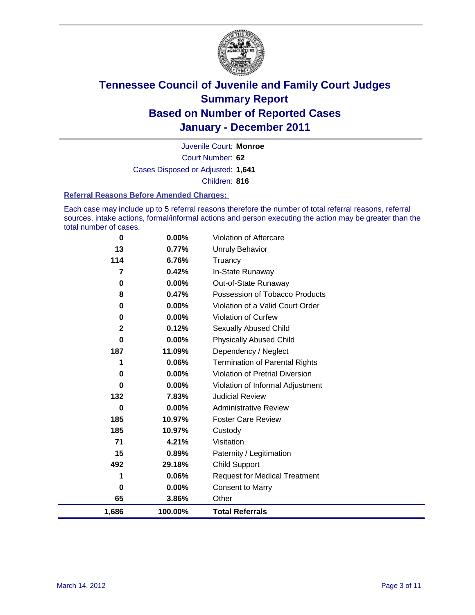

Court Number: **62** Juvenile Court: **Monroe** Cases Disposed or Adjusted: **1,641** Children: **816**

#### **Referral Reasons Before Amended Charges:**

Each case may include up to 5 referral reasons therefore the number of total referral reasons, referral sources, intake actions, formal/informal actions and person executing the action may be greater than the total number of cases.

| 1,686       | 100.00%  | <b>Total Referrals</b>                 |
|-------------|----------|----------------------------------------|
| 65          | 3.86%    | Other                                  |
| 0           | 0.00%    | Consent to Marry                       |
| 1           | 0.06%    | <b>Request for Medical Treatment</b>   |
| 492         | 29.18%   | <b>Child Support</b>                   |
| 15          | 0.89%    | Paternity / Legitimation               |
| 71          | 4.21%    | Visitation                             |
| 185         | 10.97%   | Custody                                |
| 185         | 10.97%   | <b>Foster Care Review</b>              |
| 0           | 0.00%    | <b>Administrative Review</b>           |
| 132         | 7.83%    | <b>Judicial Review</b>                 |
| 0           | 0.00%    | Violation of Informal Adjustment       |
| 0           | 0.00%    | <b>Violation of Pretrial Diversion</b> |
| 1           | 0.06%    | <b>Termination of Parental Rights</b>  |
| 187         | 11.09%   | Dependency / Neglect                   |
| $\bf{0}$    | 0.00%    | <b>Physically Abused Child</b>         |
| $\mathbf 2$ | 0.12%    | <b>Sexually Abused Child</b>           |
| 0           | $0.00\%$ | Violation of Curfew                    |
| 0           | 0.00%    | Violation of a Valid Court Order       |
| 8           | 0.47%    | Possession of Tobacco Products         |
| 0           | 0.00%    | Out-of-State Runaway                   |
| 7           | 0.42%    | In-State Runaway                       |
| 114         | 6.76%    | Truancy                                |
| 13          | 0.77%    | <b>Unruly Behavior</b>                 |
| 0           | 0.00%    | Violation of Aftercare                 |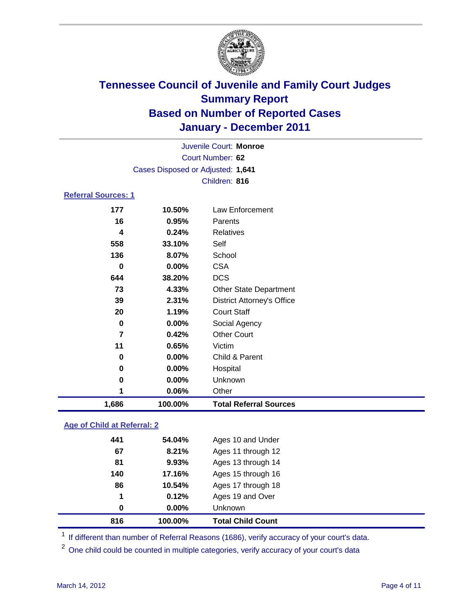

| 1,686                      | 100.00%                           | <b>Total Referral Sources</b>     |  |  |
|----------------------------|-----------------------------------|-----------------------------------|--|--|
| 1                          | 0.06%                             | Other                             |  |  |
| 0                          | 0.00%                             | Unknown                           |  |  |
| 0                          | 0.00%                             | Hospital                          |  |  |
| 0                          | 0.00%                             | Child & Parent                    |  |  |
| 11                         | 0.65%                             | Victim                            |  |  |
| $\overline{7}$             | 0.42%                             | <b>Other Court</b>                |  |  |
| $\bf{0}$                   | 0.00%                             | Social Agency                     |  |  |
| 20                         | 1.19%                             | <b>Court Staff</b>                |  |  |
| 39                         | 2.31%                             | <b>District Attorney's Office</b> |  |  |
| 73                         | 4.33%                             | Other State Department            |  |  |
| 644                        | 38.20%                            | <b>DCS</b>                        |  |  |
| $\bf{0}$                   | 0.00%                             | <b>CSA</b>                        |  |  |
| 136                        | 8.07%                             | School                            |  |  |
| 558                        | 33.10%                            | Self                              |  |  |
| $\overline{\mathbf{4}}$    | 0.24%                             | <b>Relatives</b>                  |  |  |
| 16                         | 0.95%                             | Parents                           |  |  |
| 177                        | 10.50%                            | <b>Law Enforcement</b>            |  |  |
| <b>Referral Sources: 1</b> |                                   |                                   |  |  |
|                            |                                   | Children: 816                     |  |  |
|                            | Cases Disposed or Adjusted: 1,641 |                                   |  |  |
|                            |                                   | Court Number: 62                  |  |  |
| Juvenile Court: Monroe     |                                   |                                   |  |  |
|                            |                                   |                                   |  |  |

### **Age of Child at Referral: 2**

|     |          | <b>Total Child Count</b> |
|-----|----------|--------------------------|
| 0   | $0.00\%$ | <b>Unknown</b>           |
| 1   | 0.12%    | Ages 19 and Over         |
| 86  | 10.54%   | Ages 17 through 18       |
| 140 | 17.16%   | Ages 15 through 16       |
| 81  | 9.93%    | Ages 13 through 14       |
| 67  | 8.21%    | Ages 11 through 12       |
| 441 | 54.04%   | Ages 10 and Under        |
|     |          | 816<br>100.00%           |

<sup>1</sup> If different than number of Referral Reasons (1686), verify accuracy of your court's data.

<sup>2</sup> One child could be counted in multiple categories, verify accuracy of your court's data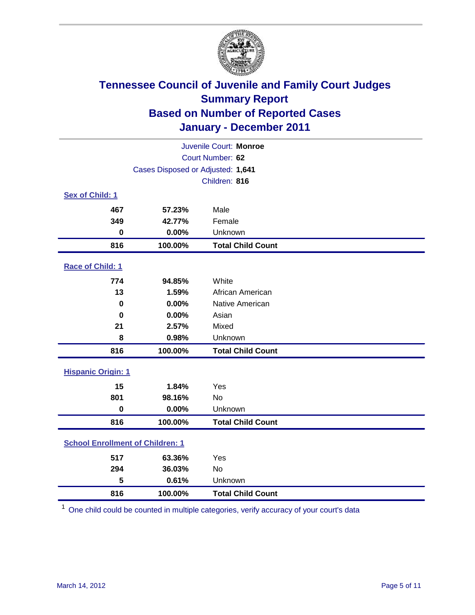

| Juvenile Court: Monroe                  |                                   |                          |  |
|-----------------------------------------|-----------------------------------|--------------------------|--|
| Court Number: 62                        |                                   |                          |  |
|                                         | Cases Disposed or Adjusted: 1,641 |                          |  |
|                                         |                                   | Children: 816            |  |
| Sex of Child: 1                         |                                   |                          |  |
| 467                                     | 57.23%                            | Male                     |  |
| 349                                     | 42.77%                            | Female                   |  |
| $\mathbf 0$                             | 0.00%                             | Unknown                  |  |
| 816                                     | 100.00%                           | <b>Total Child Count</b> |  |
| Race of Child: 1                        |                                   |                          |  |
| 774                                     | 94.85%                            | White                    |  |
| 13                                      | 1.59%                             | African American         |  |
| $\mathbf 0$                             | 0.00%                             | Native American          |  |
| $\bf{0}$                                | 0.00%                             | Asian                    |  |
| 21                                      | 2.57%                             | Mixed                    |  |
| 8                                       | 0.98%                             | Unknown                  |  |
| 816                                     | 100.00%                           | <b>Total Child Count</b> |  |
| <b>Hispanic Origin: 1</b>               |                                   |                          |  |
| 15                                      | 1.84%                             | Yes                      |  |
| 801                                     | 98.16%                            | No                       |  |
| $\mathbf 0$                             | 0.00%                             | Unknown                  |  |
| 816                                     | 100.00%                           | <b>Total Child Count</b> |  |
| <b>School Enrollment of Children: 1</b> |                                   |                          |  |
| 517                                     | 63.36%                            | Yes                      |  |
| 294                                     | 36.03%                            | No                       |  |
| 5                                       | 0.61%                             | Unknown                  |  |
| 816                                     | 100.00%                           | <b>Total Child Count</b> |  |

One child could be counted in multiple categories, verify accuracy of your court's data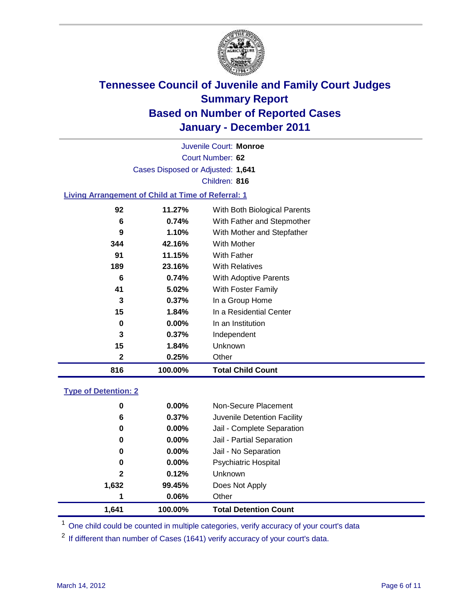

Court Number: **62** Juvenile Court: **Monroe** Cases Disposed or Adjusted: **1,641** Children: **816**

#### **Living Arrangement of Child at Time of Referral: 1**

| 816 | 100.00%  | <b>Total Child Count</b>     |  |
|-----|----------|------------------------------|--|
| 2   | 0.25%    | Other                        |  |
| 15  | 1.84%    | Unknown                      |  |
| 3   | 0.37%    | Independent                  |  |
| 0   | $0.00\%$ | In an Institution            |  |
| 15  | 1.84%    | In a Residential Center      |  |
| 3   | 0.37%    | In a Group Home              |  |
| 41  | 5.02%    | With Foster Family           |  |
| 6   | 0.74%    | With Adoptive Parents        |  |
| 189 | 23.16%   | <b>With Relatives</b>        |  |
| 91  | 11.15%   | With Father                  |  |
| 344 | 42.16%   | With Mother                  |  |
| 9   | 1.10%    | With Mother and Stepfather   |  |
| 6   | 0.74%    | With Father and Stepmother   |  |
| 92  | 11.27%   | With Both Biological Parents |  |
|     |          |                              |  |

### **Type of Detention: 2**

| 1.641        | 100.00%  | <b>Total Detention Count</b> |  |
|--------------|----------|------------------------------|--|
|              | 0.06%    | Other                        |  |
| 1,632        | 99.45%   | Does Not Apply               |  |
| $\mathbf{2}$ | 0.12%    | <b>Unknown</b>               |  |
| 0            | 0.00%    | <b>Psychiatric Hospital</b>  |  |
| 0            | 0.00%    | Jail - No Separation         |  |
| 0            | $0.00\%$ | Jail - Partial Separation    |  |
| 0            | $0.00\%$ | Jail - Complete Separation   |  |
| 6            | 0.37%    | Juvenile Detention Facility  |  |
| 0            | $0.00\%$ | Non-Secure Placement         |  |
|              |          |                              |  |

<sup>1</sup> One child could be counted in multiple categories, verify accuracy of your court's data

<sup>2</sup> If different than number of Cases (1641) verify accuracy of your court's data.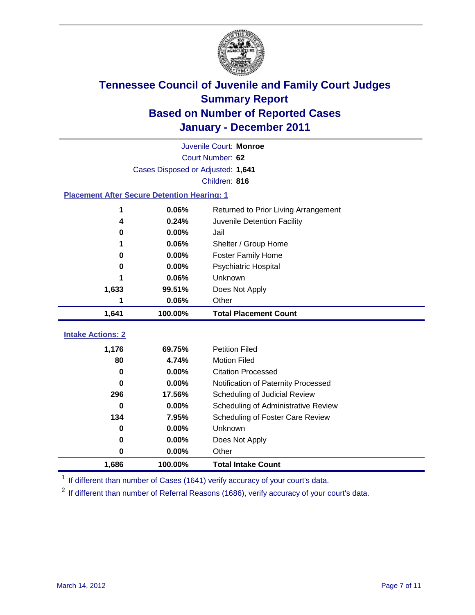

|                                                    | Juvenile Court: Monroe            |                                      |  |  |  |
|----------------------------------------------------|-----------------------------------|--------------------------------------|--|--|--|
|                                                    | Court Number: 62                  |                                      |  |  |  |
|                                                    | Cases Disposed or Adjusted: 1,641 |                                      |  |  |  |
|                                                    |                                   | Children: 816                        |  |  |  |
| <b>Placement After Secure Detention Hearing: 1</b> |                                   |                                      |  |  |  |
| 1                                                  | 0.06%                             | Returned to Prior Living Arrangement |  |  |  |
| 4                                                  | 0.24%                             | Juvenile Detention Facility          |  |  |  |
| 0                                                  | 0.00%                             | Jail                                 |  |  |  |
| 1                                                  | 0.06%                             | Shelter / Group Home                 |  |  |  |
| 0                                                  | 0.00%                             | <b>Foster Family Home</b>            |  |  |  |
| 0                                                  | 0.00%                             | Psychiatric Hospital                 |  |  |  |
|                                                    | 0.06%                             | Unknown                              |  |  |  |
| 1,633                                              | 99.51%                            | Does Not Apply                       |  |  |  |
| 1                                                  | 0.06%                             | Other                                |  |  |  |
| 1,641                                              | 100.00%                           | <b>Total Placement Count</b>         |  |  |  |
|                                                    |                                   |                                      |  |  |  |
| <b>Intake Actions: 2</b>                           |                                   |                                      |  |  |  |
| 1,176                                              | 69.75%                            | <b>Petition Filed</b>                |  |  |  |
| 80                                                 | 4.74%                             | <b>Motion Filed</b>                  |  |  |  |
| 0                                                  | 0.00%                             | <b>Citation Processed</b>            |  |  |  |
| 0                                                  | 0.00%                             | Notification of Paternity Processed  |  |  |  |
| 296                                                | 17.56%                            | Scheduling of Judicial Review        |  |  |  |
| $\bf{0}$                                           | 0.00%                             | Scheduling of Administrative Review  |  |  |  |
| 134                                                | 7.95%                             | Scheduling of Foster Care Review     |  |  |  |
| $\bf{0}$                                           | 0.00%                             | Unknown                              |  |  |  |
| 0                                                  | 0.00%                             | Does Not Apply                       |  |  |  |
| 0                                                  | 0.00%                             | Other                                |  |  |  |
| 1,686                                              | 100.00%                           | <b>Total Intake Count</b>            |  |  |  |

<sup>1</sup> If different than number of Cases (1641) verify accuracy of your court's data.

<sup>2</sup> If different than number of Referral Reasons (1686), verify accuracy of your court's data.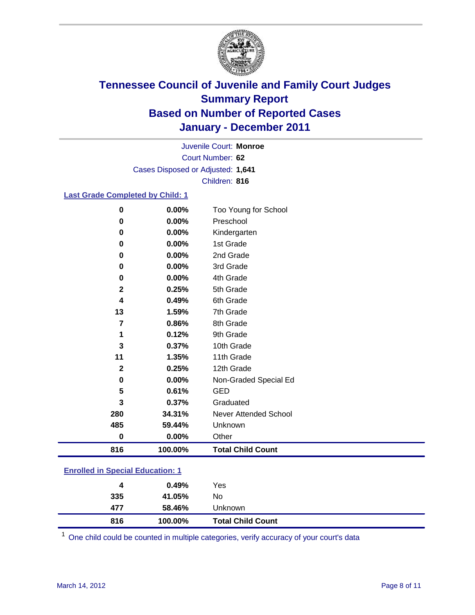

Court Number: **62** Juvenile Court: **Monroe** Cases Disposed or Adjusted: **1,641** Children: **816**

#### **Last Grade Completed by Child: 1**

| 0            | 0.00%   | Too Young for School     |
|--------------|---------|--------------------------|
| 0            | 0.00%   | Preschool                |
| 0            | 0.00%   | Kindergarten             |
| 0            | 0.00%   | 1st Grade                |
| 0            | 0.00%   | 2nd Grade                |
| 0            | 0.00%   | 3rd Grade                |
| 0            | 0.00%   | 4th Grade                |
| $\mathbf 2$  | 0.25%   | 5th Grade                |
| 4            | 0.49%   | 6th Grade                |
| 13           | 1.59%   | 7th Grade                |
| 7            | 0.86%   | 8th Grade                |
| 1            | 0.12%   | 9th Grade                |
| 3            | 0.37%   | 10th Grade               |
| 11           | 1.35%   | 11th Grade               |
| $\mathbf{2}$ | 0.25%   | 12th Grade               |
| 0            | 0.00%   | Non-Graded Special Ed    |
| 5            | 0.61%   | <b>GED</b>               |
| 3            | 0.37%   | Graduated                |
| 280          | 34.31%  | Never Attended School    |
| 485          | 59.44%  | Unknown                  |
| $\bf{0}$     | 0.00%   | Other                    |
| 816          | 100.00% | <b>Total Child Count</b> |

### **Enrolled in Special Education: 1**

| 816 | 100.00% | <b>Total Child Count</b> |
|-----|---------|--------------------------|
| 477 | 58.46%  | Unknown                  |
| 335 | 41.05%  | No                       |
| 4   | 0.49%   | Yes                      |
|     |         |                          |

One child could be counted in multiple categories, verify accuracy of your court's data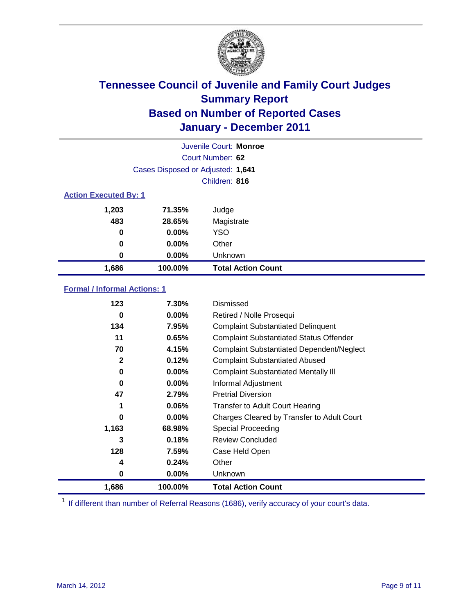

|                              | Juvenile Court: Monroe            |                           |  |
|------------------------------|-----------------------------------|---------------------------|--|
|                              | Court Number: 62                  |                           |  |
|                              | Cases Disposed or Adjusted: 1,641 |                           |  |
|                              |                                   | Children: 816             |  |
| <b>Action Executed By: 1</b> |                                   |                           |  |
| 1,203                        | 71.35%                            | Judge                     |  |
| 483                          | 28.65%                            | Magistrate                |  |
| 0                            | $0.00\%$                          | <b>YSO</b>                |  |
| 0                            | $0.00\%$                          | Other                     |  |
| 0                            | 0.00%                             | Unknown                   |  |
| 1,686                        | 100.00%                           | <b>Total Action Count</b> |  |

### **Formal / Informal Actions: 1**

| 123   | 7.30%    | Dismissed                                        |
|-------|----------|--------------------------------------------------|
| 0     | $0.00\%$ | Retired / Nolle Prosequi                         |
| 134   | 7.95%    | <b>Complaint Substantiated Delinquent</b>        |
| 11    | 0.65%    | <b>Complaint Substantiated Status Offender</b>   |
| 70    | 4.15%    | <b>Complaint Substantiated Dependent/Neglect</b> |
| 2     | 0.12%    | <b>Complaint Substantiated Abused</b>            |
| 0     | $0.00\%$ | <b>Complaint Substantiated Mentally III</b>      |
| 0     | $0.00\%$ | Informal Adjustment                              |
| 47    | 2.79%    | <b>Pretrial Diversion</b>                        |
| 1     | $0.06\%$ | <b>Transfer to Adult Court Hearing</b>           |
| 0     | $0.00\%$ | Charges Cleared by Transfer to Adult Court       |
| 1,163 | 68.98%   | <b>Special Proceeding</b>                        |
| 3     | 0.18%    | <b>Review Concluded</b>                          |
| 128   | 7.59%    | Case Held Open                                   |
| 4     | 0.24%    | Other                                            |
| 0     | $0.00\%$ | <b>Unknown</b>                                   |
| 1,686 | 100.00%  | <b>Total Action Count</b>                        |

<sup>1</sup> If different than number of Referral Reasons (1686), verify accuracy of your court's data.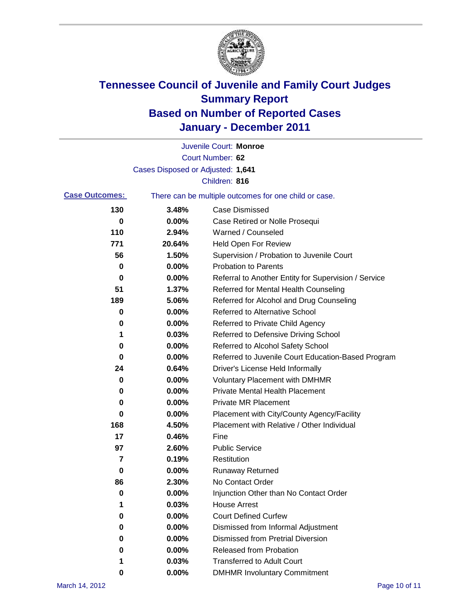

|                       |                                   | Juvenile Court: Monroe                                |
|-----------------------|-----------------------------------|-------------------------------------------------------|
|                       |                                   | Court Number: 62                                      |
|                       | Cases Disposed or Adjusted: 1,641 |                                                       |
|                       |                                   | Children: 816                                         |
| <b>Case Outcomes:</b> |                                   | There can be multiple outcomes for one child or case. |
| 130                   | 3.48%                             | <b>Case Dismissed</b>                                 |
| 0                     | 0.00%                             | Case Retired or Nolle Prosequi                        |
| 110                   | 2.94%                             | Warned / Counseled                                    |
| 771                   | 20.64%                            | <b>Held Open For Review</b>                           |
| 56                    | 1.50%                             | Supervision / Probation to Juvenile Court             |
| 0                     | 0.00%                             | <b>Probation to Parents</b>                           |
| 0                     | 0.00%                             | Referral to Another Entity for Supervision / Service  |
| 51                    | 1.37%                             | Referred for Mental Health Counseling                 |
| 189                   | 5.06%                             | Referred for Alcohol and Drug Counseling              |
| 0                     | 0.00%                             | <b>Referred to Alternative School</b>                 |
| 0                     | 0.00%                             | Referred to Private Child Agency                      |
| 1                     | 0.03%                             | Referred to Defensive Driving School                  |
| 0                     | 0.00%                             | Referred to Alcohol Safety School                     |
| 0                     | 0.00%                             | Referred to Juvenile Court Education-Based Program    |
| 24                    | 0.64%                             | Driver's License Held Informally                      |
| 0                     | 0.00%                             | <b>Voluntary Placement with DMHMR</b>                 |
| 0                     | 0.00%                             | <b>Private Mental Health Placement</b>                |
| 0                     | 0.00%                             | <b>Private MR Placement</b>                           |
| 0                     | 0.00%                             | Placement with City/County Agency/Facility            |
| 168                   | 4.50%                             | Placement with Relative / Other Individual            |
| 17                    | 0.46%                             | Fine                                                  |
| 97                    | 2.60%                             | <b>Public Service</b>                                 |
| 7                     | 0.19%                             | Restitution                                           |
| 0                     | 0.00%                             | <b>Runaway Returned</b>                               |
| 86                    | 2.30%                             | No Contact Order                                      |
| 0                     | 0.00%                             | Injunction Other than No Contact Order                |
| 1                     | 0.03%                             | <b>House Arrest</b>                                   |
| 0                     | 0.00%                             | <b>Court Defined Curfew</b>                           |
| 0                     | 0.00%                             | Dismissed from Informal Adjustment                    |
| 0                     | 0.00%                             | <b>Dismissed from Pretrial Diversion</b>              |
| 0                     | 0.00%                             | Released from Probation                               |
| 1                     | 0.03%                             | <b>Transferred to Adult Court</b>                     |
| 0                     | $0.00\%$                          | <b>DMHMR Involuntary Commitment</b>                   |